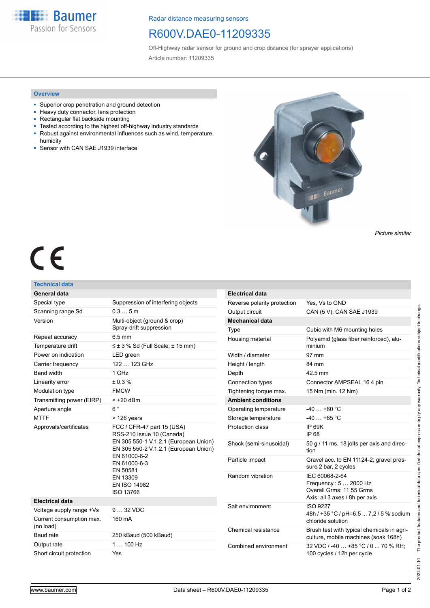**Baumer** Passion for Sensors

Radar distance measuring sensors

## R600V.DAE0-11209335

Off-Highway radar sensor for ground and crop distance (for sprayer applications) Article number: 11209335

## **Overview**

- Superior crop penetration and ground detection
- Heavy duty connector, lens protection
- Rectangular flat backside mounting
- Tested according to the highest off-highway industry standards
- Robust against environmental influences such as wind, temperature, humidity
- Sensor with CAN SAE J1939 interface



*Picture similar*

# $\epsilon$

## **Technical data**

| General data                          |                                                                                                                                                                                                                                       |
|---------------------------------------|---------------------------------------------------------------------------------------------------------------------------------------------------------------------------------------------------------------------------------------|
| Special type                          | Suppression of interfering objects                                                                                                                                                                                                    |
| Scanning range Sd                     | 0.35m                                                                                                                                                                                                                                 |
| Version                               | Multi-object (ground & crop)<br>Spray-drift suppression                                                                                                                                                                               |
| Repeat accuracy                       | $6.5 \text{ mm}$                                                                                                                                                                                                                      |
| Temperature drift                     | $\leq \pm 3$ % Sd (Full Scale; $\pm 15$ mm)                                                                                                                                                                                           |
| Power on indication                   | LED green                                                                                                                                                                                                                             |
| Carrier frequency                     | 122  123 GHz                                                                                                                                                                                                                          |
| <b>Band width</b>                     | 1 GHz                                                                                                                                                                                                                                 |
| Linearity error                       | ± 0.3 %                                                                                                                                                                                                                               |
| Modulation type                       | <b>FMCW</b>                                                                                                                                                                                                                           |
| Transmitting power (EIRP)             | $<$ +20 dBm                                                                                                                                                                                                                           |
| Aperture angle                        | $6^{\circ}$                                                                                                                                                                                                                           |
| <b>MTTF</b>                           | $>126$ years                                                                                                                                                                                                                          |
| Approvals/certificates                | FCC / CFR-47 part 15 (USA)<br>RSS-210 Issue 10 (Canada)<br>EN 305 550-1 V.1.2.1 (European Union)<br>EN 305 550-2 V.1.2.1 (European Union)<br>EN 61000-6-2<br>EN 61000-6-3<br>EN 50581<br>EN 13309<br><b>EN ISO 14982</b><br>ISO 13766 |
| <b>Electrical data</b>                |                                                                                                                                                                                                                                       |
| Voltage supply range +Vs              | $932$ VDC                                                                                                                                                                                                                             |
| Current consumption max.<br>(no load) | 160 mA                                                                                                                                                                                                                                |
| Baud rate                             | 250 kBaud (500 kBaud)                                                                                                                                                                                                                 |
|                                       |                                                                                                                                                                                                                                       |
| Output rate                           | $1100$ Hz                                                                                                                                                                                                                             |

| <b>Electrical data</b>      |                                                                                                      |
|-----------------------------|------------------------------------------------------------------------------------------------------|
| Reverse polarity protection | Yes. Vs to GND                                                                                       |
| Output circuit              | CAN (5 V), CAN SAE J1939                                                                             |
| <b>Mechanical data</b>      |                                                                                                      |
| Type                        | Cubic with M6 mounting holes                                                                         |
| Housing material            | Polyamid (glass fiber reinforced), alu-<br>minium                                                    |
| Width / diameter            | 97 mm                                                                                                |
| Height / length             | 84 mm                                                                                                |
| Depth                       | 42.5 mm                                                                                              |
| Connection types            | Connector AMPSEAL 164 pin                                                                            |
| Tightening torque max.      | 15 Nm (min. 12 Nm)                                                                                   |
| <b>Ambient conditions</b>   |                                                                                                      |
| Operating temperature       | $-40+60$ °C                                                                                          |
| Storage temperature         | $-40+85$ °C                                                                                          |
| Protection class            | <b>IP 69K</b><br>IP 68                                                                               |
| Shock (semi-sinusoidal)     | 50 g / 11 ms, 18 jolts per axis and direc-<br>tion                                                   |
| Particle impact             | Gravel acc. to EN 11124-2; gravel pres-<br>sure 2 bar, 2 cycles                                      |
| Random vibration            | IEC 60068-2-64<br>Frequency: 5 2000 Hz<br>Overall Grms: 11,55 Grms<br>Axis: all 3 axes / 8h per axis |
| Salt environment            | <b>ISO 9227</b><br>48h / +35 °C / pH=6,5  7,2 / 5 % sodium<br>chloride solution                      |
| Chemical resistance         | Brush test with typical chemicals in agri-<br>culture, mobile machines (soak 168h)                   |
| Combined environment        | 32 VDC / -40  +85 °C / 0  70 % RH;<br>100 cycles / 12h per cycle                                     |